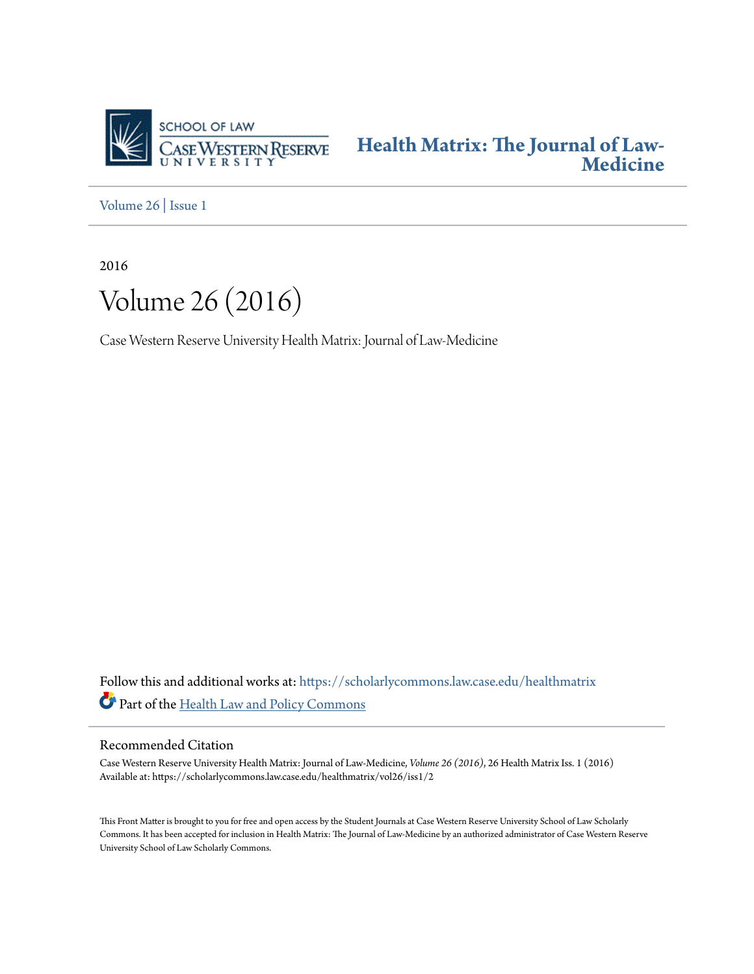

**[Health Matrix: The Journal of Law-](https://scholarlycommons.law.case.edu/healthmatrix?utm_source=scholarlycommons.law.case.edu%2Fhealthmatrix%2Fvol26%2Fiss1%2F2&utm_medium=PDF&utm_campaign=PDFCoverPages)[Medicine](https://scholarlycommons.law.case.edu/healthmatrix?utm_source=scholarlycommons.law.case.edu%2Fhealthmatrix%2Fvol26%2Fiss1%2F2&utm_medium=PDF&utm_campaign=PDFCoverPages)**

[Volume 26](https://scholarlycommons.law.case.edu/healthmatrix/vol26?utm_source=scholarlycommons.law.case.edu%2Fhealthmatrix%2Fvol26%2Fiss1%2F2&utm_medium=PDF&utm_campaign=PDFCoverPages) | [Issue 1](https://scholarlycommons.law.case.edu/healthmatrix/vol26/iss1?utm_source=scholarlycommons.law.case.edu%2Fhealthmatrix%2Fvol26%2Fiss1%2F2&utm_medium=PDF&utm_campaign=PDFCoverPages)

2016



Case Western Reserve University Health Matrix: Journal of Law-Medicine

Follow this and additional works at: [https://scholarlycommons.law.case.edu/healthmatrix](https://scholarlycommons.law.case.edu/healthmatrix?utm_source=scholarlycommons.law.case.edu%2Fhealthmatrix%2Fvol26%2Fiss1%2F2&utm_medium=PDF&utm_campaign=PDFCoverPages) Part of the [Health Law and Policy Commons](http://network.bepress.com/hgg/discipline/901?utm_source=scholarlycommons.law.case.edu%2Fhealthmatrix%2Fvol26%2Fiss1%2F2&utm_medium=PDF&utm_campaign=PDFCoverPages)

### Recommended Citation

Case Western Reserve University Health Matrix: Journal of Law-Medicine, *Volume 26 (2016)*, 26 Health MatrixIss. 1 (2016) Available at: https://scholarlycommons.law.case.edu/healthmatrix/vol26/iss1/2

This Front Matter is brought to you for free and open access by the Student Journals at Case Western Reserve University School of Law Scholarly Commons. It has been accepted for inclusion in Health Matrix: The Journal of Law-Medicine by an authorized administrator of Case Western Reserve University School of Law Scholarly Commons.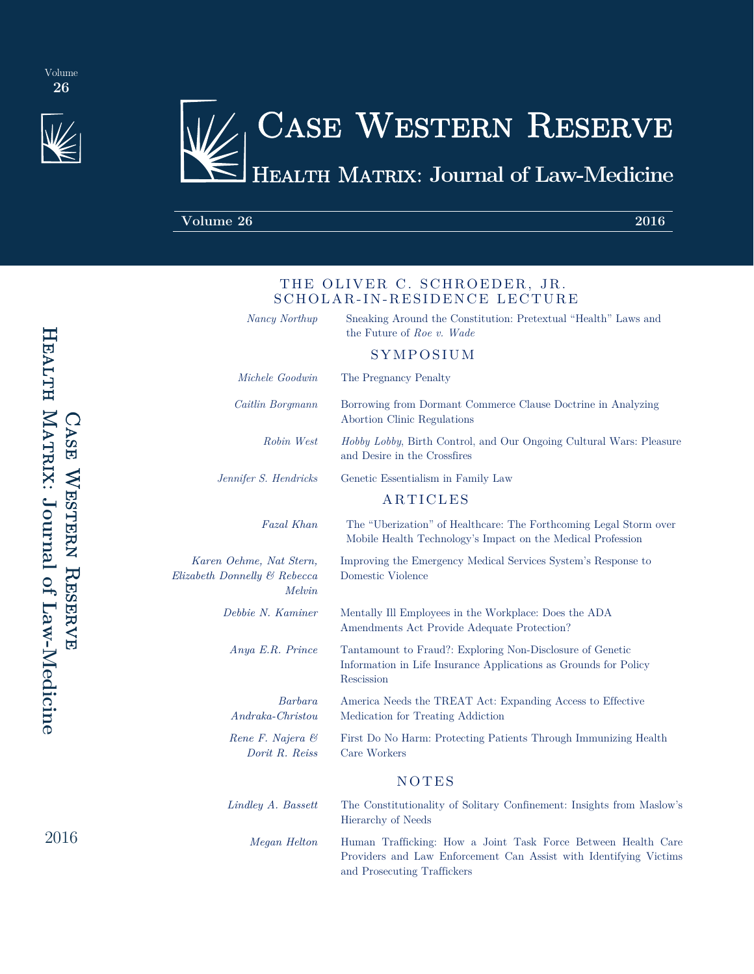

# Case Western Reserve Health Matrix: **Journal of Law-Medicine**

THE OLIVER C. SCHROEDER, JR. SCHOLAR-IN-RESIDENCE LECTURE

### **Volume 26 2016**

| HEALTH MATRIX: Journal of Law-Medicine | <b>CASE NEGHERI REGENALE</b> |  |  |
|----------------------------------------|------------------------------|--|--|
|                                        |                              |  |  |

2016

| Nancy Northup                                                     | Sneaking Around the Constitution: Pretextual "Health" Laws and<br>the Future of Roe v. Wade                                                 |  |  |
|-------------------------------------------------------------------|---------------------------------------------------------------------------------------------------------------------------------------------|--|--|
|                                                                   | SYMPOSIUM                                                                                                                                   |  |  |
| Michele Goodwin                                                   | The Pregnancy Penalty                                                                                                                       |  |  |
| Caitlin Borgmann                                                  | Borrowing from Dormant Commerce Clause Doctrine in Analyzing<br>Abortion Clinic Regulations                                                 |  |  |
| Robin West                                                        | Hobby Lobby, Birth Control, and Our Ongoing Cultural Wars: Pleasure<br>and Desire in the Crossfires                                         |  |  |
| Jennifer S. Hendricks                                             | Genetic Essentialism in Family Law                                                                                                          |  |  |
|                                                                   | <b>ARTICLES</b>                                                                                                                             |  |  |
| Fazal Khan                                                        | The "Uberization" of Healthcare: The Forthcoming Legal Storm over<br>Mobile Health Technology's Impact on the Medical Profession            |  |  |
| Karen Oehme, Nat Stern,<br>Elizabeth Donnelly & Rebecca<br>Melvin | Improving the Emergency Medical Services System's Response to<br>Domestic Violence                                                          |  |  |
| Debbie N. Kaminer                                                 | Mentally Ill Employees in the Workplace: Does the ADA<br>Amendments Act Provide Adequate Protection?                                        |  |  |
| Anya E.R. Prince                                                  | Tantamount to Fraud?: Exploring Non-Disclosure of Genetic<br>Information in Life Insurance Applications as Grounds for Policy<br>Rescission |  |  |
| Barbara<br>$Andraka-Christou$                                     | America Needs the TREAT Act: Expanding Access to Effective<br>Medication for Treating Addiction                                             |  |  |
| Rene F. Najera &<br>Dorit R. Reiss                                | First Do No Harm: Protecting Patients Through Immunizing Health<br>Care Workers                                                             |  |  |
|                                                                   | <b>NOTES</b>                                                                                                                                |  |  |
| Lindley A. Bassett                                                | The Constitutionality of Solitary Confinement: Insights from Maslow's<br>Hierarchy of Needs                                                 |  |  |
| Megan Helton                                                      | Human Trafficking: How a Joint Task Force Between Health Care<br>Providers and Law Enforcement Can Assist with Identifying Victims          |  |  |

and Prosecuting Traffickers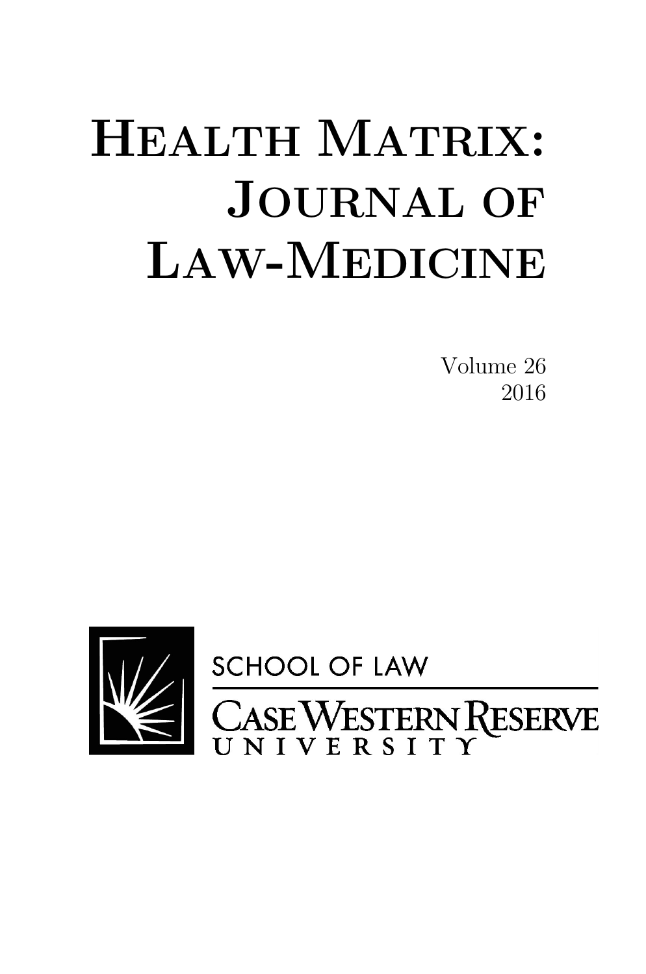# **HEALTH MATRIX: JOURNAL OF LAW-MEDICINE**

 Volume 26 2016

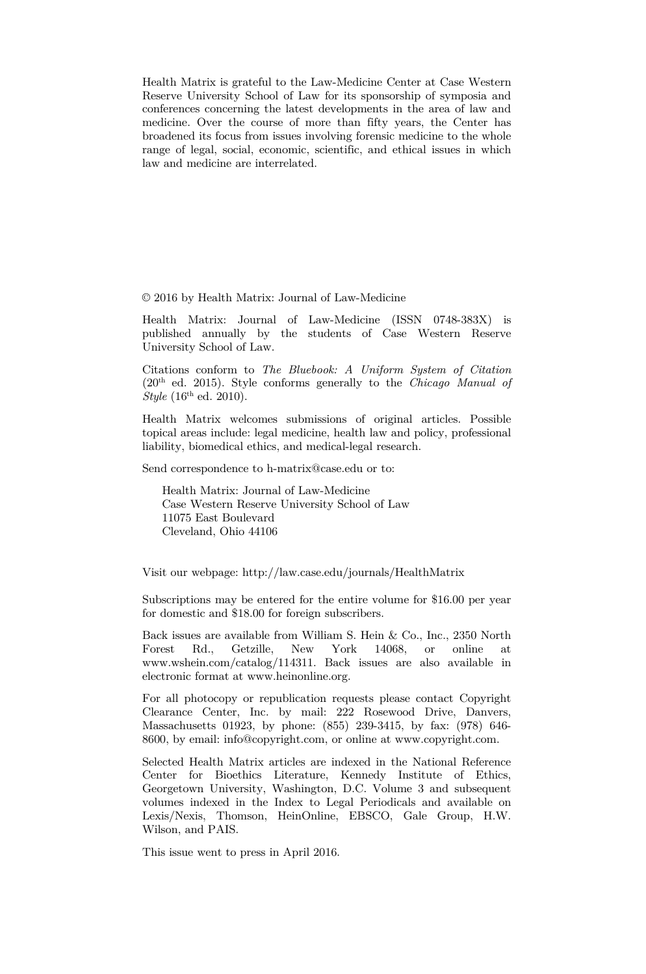Health Matrix is grateful to the Law-Medicine Center at Case Western Reserve University School of Law for its sponsorship of symposia and conferences concerning the latest developments in the area of law and medicine. Over the course of more than fifty years, the Center has broadened its focus from issues involving forensic medicine to the whole range of legal, social, economic, scientific, and ethical issues in which law and medicine are interrelated.

© 2016 by Health Matrix: Journal of Law-Medicine

Health Matrix: Journal of Law-Medicine (ISSN 0748-383X) is published annually by the students of Case Western Reserve University School of Law.

Citations conform to *The Bluebook: A Uniform System of Citation*  (20th ed. 2015). Style conforms generally to the *Chicago Manual of Style* (16<sup>th</sup> ed. 2010).

Health Matrix welcomes submissions of original articles. Possible topical areas include: legal medicine, health law and policy, professional liability, biomedical ethics, and medical-legal research.

Send correspondence to h-matrix@case.edu or to:

 Health Matrix: Journal of Law-Medicine Case Western Reserve University School of Law 11075 East Boulevard Cleveland, Ohio 44106

Visit our webpage: http://law.case.edu/journals/HealthMatrix

Subscriptions may be entered for the entire volume for \$16.00 per year for domestic and \$18.00 for foreign subscribers.

Back issues are available from William S. Hein & Co., Inc., 2350 North Forest Rd.. Getzille. New York 14068. or online at Forest Rd., Getzille, New York 14068, or online at www.wshein.com/catalog/114311. Back issues are also available in electronic format at www.heinonline.org.

For all photocopy or republication requests please contact Copyright Clearance Center, Inc. by mail: 222 Rosewood Drive, Danvers, Massachusetts 01923, by phone: (855) 239-3415, by fax: (978) 646- 8600, by email: info@copyright.com, or online at www.copyright.com.

Selected Health Matrix articles are indexed in the National Reference Center for Bioethics Literature, Kennedy Institute of Ethics, Georgetown University, Washington, D.C. Volume 3 and subsequent volumes indexed in the Index to Legal Periodicals and available on Lexis/Nexis, Thomson, HeinOnline, EBSCO, Gale Group, H.W. Wilson, and PAIS.

This issue went to press in April 2016.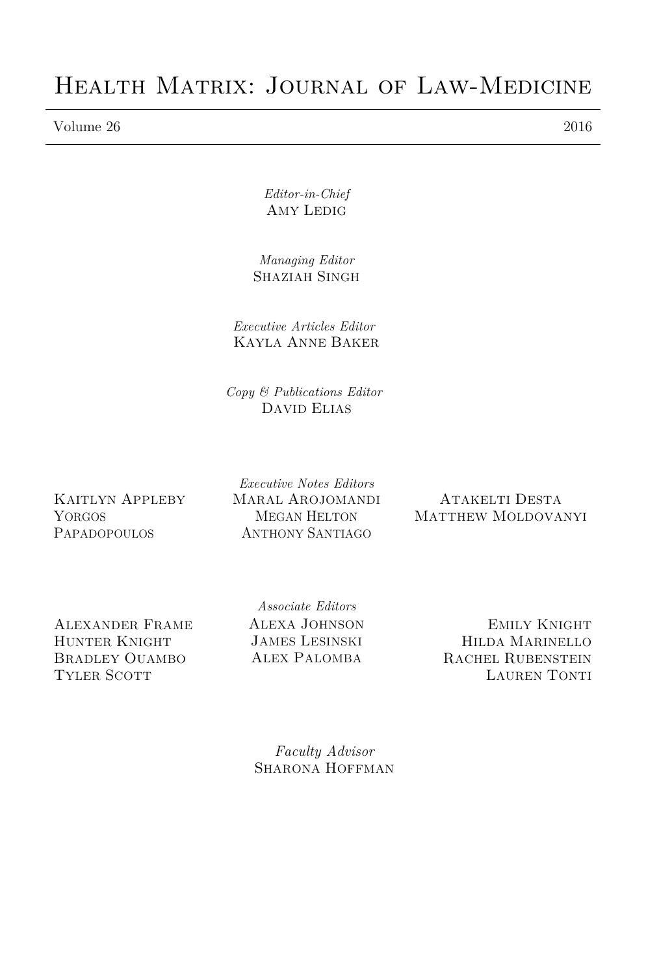# Health Matrix: Journal of Law-Medicine

Volume 26 2016

*Editor-in-Chief*  AMY LEDIG

*Managing Editor*  SHAZIAH SINGH

*Executive Articles Editor* KAYLA ANNE BAKER

*Copy & Publications Editor*  DAVID ELIAS

KAITLYN APPLEBY YORGOS PAPADOPOULOS

*Executive Notes Editors* MARAL AROJOMANDI MEGAN HELTON ANTHONY SANTIAGO

ATAKELTI DESTA MATTHEW MOLDOVANYI

ALEXANDER FRAME HUNTER KNIGHT BRADLEY OUAMBO TYLER SCOTT

*Associate Editors*  ALEXA JOHNSON JAMES LESINSKI ALEX PALOMBA

EMILY KNIGHT HILDA MARINELLO RACHEL RUBENSTEIN LAUREN TONTI

*Faculty Advisor*  SHARONA HOFFMAN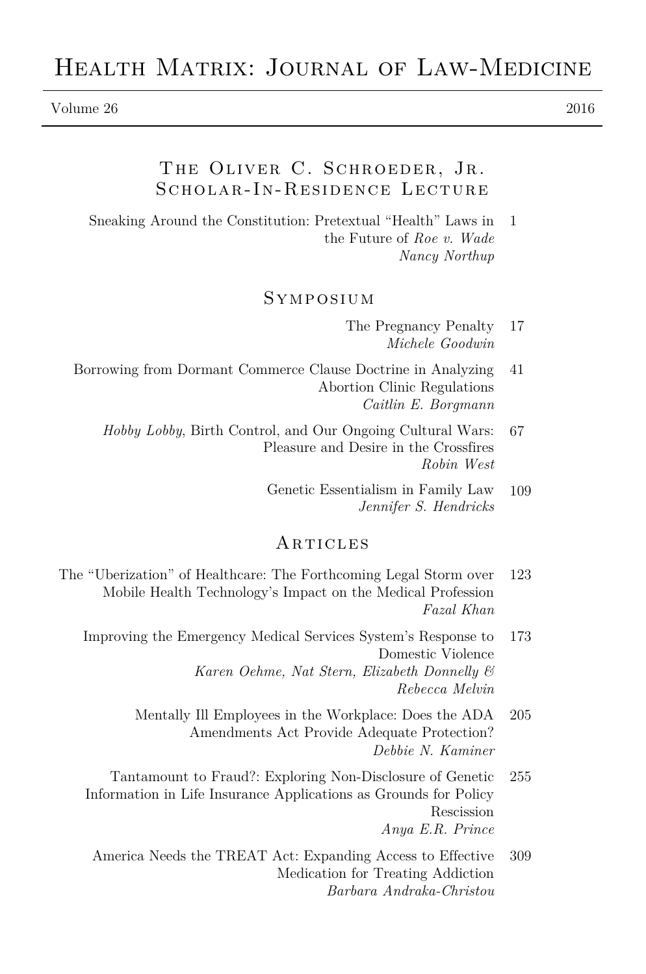#### Volume 26 2016

# THE OLIVER C. SCHROEDER, JR. Scholar-In-Residence Lecture

Sneaking Around the Constitution: Pretextual "Health" Laws in the Future of *Roe v. Wade Nancy Northup* 1

#### Symposium

- The Pregnancy Penalty *Michele Goodwin* 17
- Borrowing from Dormant Commerce Clause Doctrine in Analyzing Abortion Clinic Regulations *Caitlin E. Borgmann* 41
	- *Hobby Lobby*, Birth Control, and Our Ongoing Cultural Wars: Pleasure and Desire in the Crossfires *Robin West* 67
		- Genetic Essentialism in Family Law *Jennifer S. Hendricks* 109

#### **ARTICLES**

- The "Uberization" of Healthcare: The Forthcoming Legal Storm over Mobile Health Technology's Impact on the Medical Profession *Fazal Khan* 123
	- Improving the Emergency Medical Services System's Response to Domestic Violence *Karen Oehme, Nat Stern, Elizabeth Donnelly & Rebecca Melvin* 173
		- Mentally Ill Employees in the Workplace: Does the ADA Amendments Act Provide Adequate Protection? *Debbie N. Kaminer* 205
	- Tantamount to Fraud?: Exploring Non-Disclosure of Genetic Information in Life Insurance Applications as Grounds for Policy Rescission *Anya E.R. Prince* 255
		- America Needs the TREAT Act: Expanding Access to Effective Medication for Treating Addiction *Barbara Andraka-Christou* 309